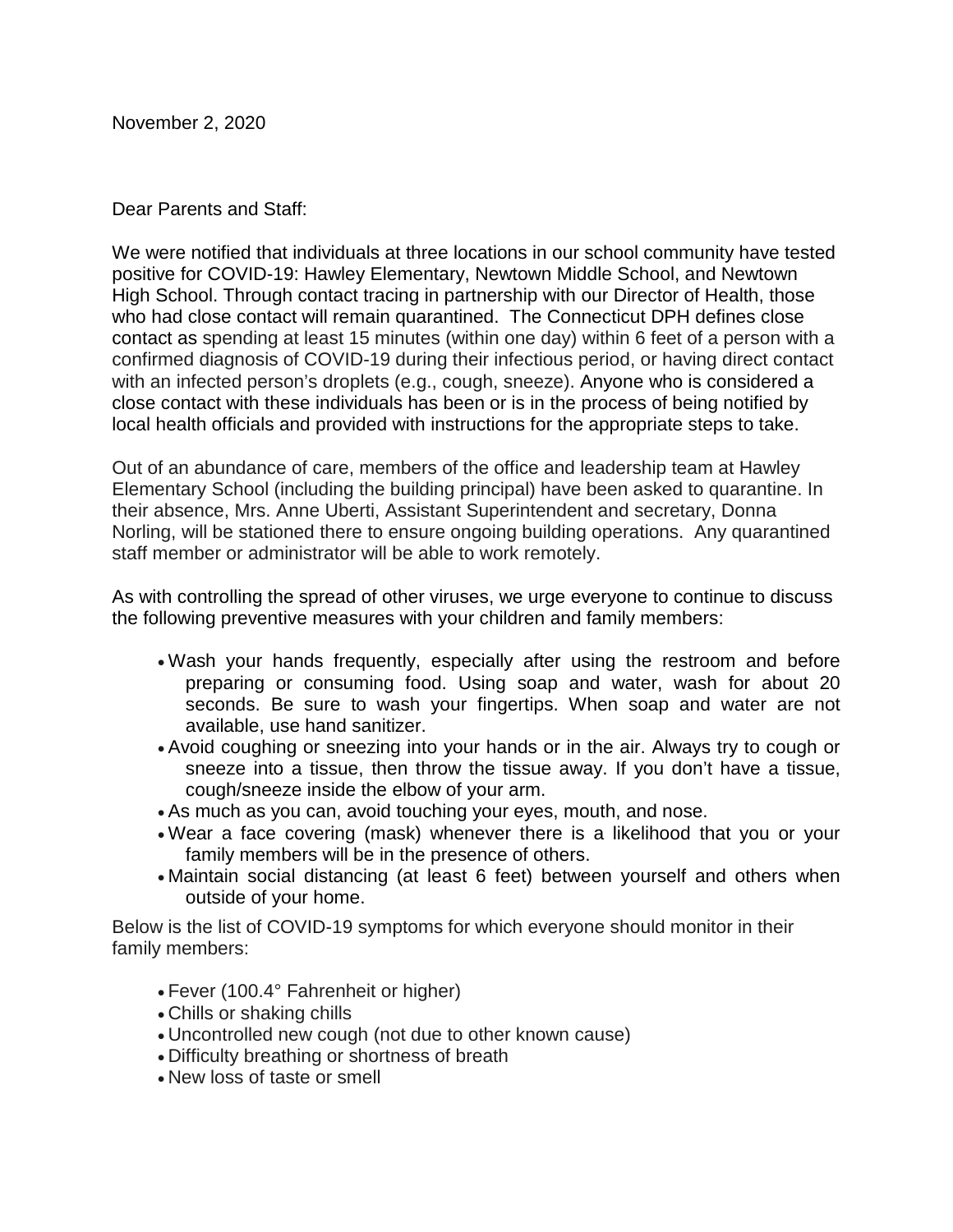November 2, 2020

Dear Parents and Staff:

We were notified that individuals at three locations in our school community have tested positive for COVID-19: Hawley Elementary, Newtown Middle School, and Newtown High School. Through contact tracing in partnership with our Director of Health, those who had close contact will remain quarantined. The Connecticut DPH defines close contact as spending at least 15 minutes (within one day) within 6 feet of a person with a confirmed diagnosis of COVID-19 during their infectious period, or having direct contact with an infected person's droplets (e.g., cough, sneeze). Anyone who is considered a close contact with these individuals has been or is in the process of being notified by local health officials and provided with instructions for the appropriate steps to take.

Out of an abundance of care, members of the office and leadership team at Hawley Elementary School (including the building principal) have been asked to quarantine. In their absence, Mrs. Anne Uberti, Assistant Superintendent and secretary, Donna Norling, will be stationed there to ensure ongoing building operations. Any quarantined staff member or administrator will be able to work remotely.

As with controlling the spread of other viruses, we urge everyone to continue to discuss the following preventive measures with your children and family members:

- Wash your hands frequently, especially after using the restroom and before preparing or consuming food. Using soap and water, wash for about 20 seconds. Be sure to wash your fingertips. When soap and water are not available, use hand sanitizer.
- Avoid coughing or sneezing into your hands or in the air. Always try to cough or sneeze into a tissue, then throw the tissue away. If you don't have a tissue, cough/sneeze inside the elbow of your arm.
- As much as you can, avoid touching your eyes, mouth, and nose.
- Wear a face covering (mask) whenever there is a likelihood that you or your family members will be in the presence of others.
- Maintain social distancing (at least 6 feet) between yourself and others when outside of your home.

Below is the list of COVID-19 symptoms for which everyone should monitor in their family members:

- Fever (100.4° Fahrenheit or higher)
- Chills or shaking chills
- Uncontrolled new cough (not due to other known cause)
- Difficulty breathing or shortness of breath
- New loss of taste or smell